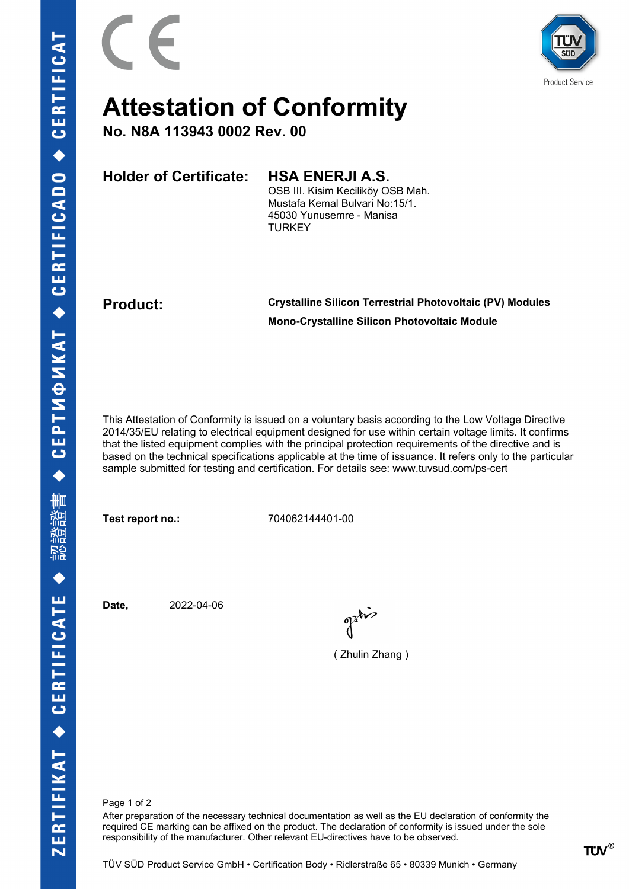

## **Attestation of Conformity**

**No. N8A 113943 0002 Rev. 00**

**Holder of Certificate: HSA ENERJI A.S.**

OSB III. Kisim Keciliköy OSB Mah. Mustafa Kemal Bulvari No:15/1. 45030 Yunusemre - Manisa **TURKEY** 

**Product: Crystalline Silicon Terrestrial Photovoltaic (PV) Modules Mono-Crystalline Silicon Photovoltaic Module**

This Attestation of Conformity is issued on a voluntary basis according to the Low Voltage Directive 2014/35/EU relating to electrical equipment designed for use within certain voltage limits. It confirms that the listed equipment complies with the principal protection requirements of the directive and is based on the technical specifications applicable at the time of issuance. It refers only to the particular sample submitted for testing and certification. For details see: www.tuvsud.com/ps-cert

**Test report no.:** 704062144401-00

**Date,** 2022-04-06

( Zhulin Zhang )

Page 1 of 2

After preparation of the necessary technical documentation as well as the EU declaration of conformity the required CE marking can be affixed on the product. The declaration of conformity is issued under the sole responsibility of the manufacturer. Other relevant EU-directives have to be observed.